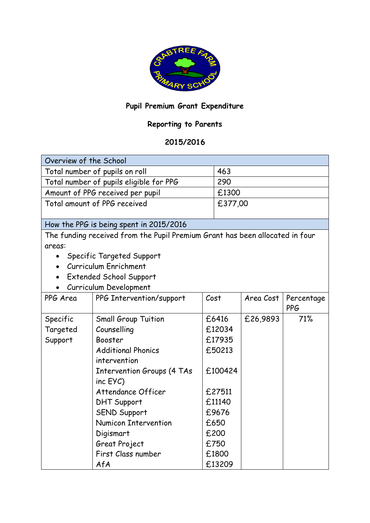

## **Pupil Premium Grant Expenditure**

## **Reporting to Parents**

## **2015/2016**

| Overview of the School                                                       |                                   |      |         |           |            |  |  |  |
|------------------------------------------------------------------------------|-----------------------------------|------|---------|-----------|------------|--|--|--|
| Total number of pupils on roll                                               |                                   |      | 463     |           |            |  |  |  |
| Total number of pupils eligible for PPG                                      |                                   |      | 290     |           |            |  |  |  |
| Amount of PPG received per pupil                                             |                                   |      | £1300   |           |            |  |  |  |
| Total amount of PPG received                                                 |                                   |      | £377,00 |           |            |  |  |  |
|                                                                              |                                   |      |         |           |            |  |  |  |
| How the PPG is being spent in 2015/2016                                      |                                   |      |         |           |            |  |  |  |
| The funding received from the Pupil Premium Grant has been allocated in four |                                   |      |         |           |            |  |  |  |
| areas:                                                                       |                                   |      |         |           |            |  |  |  |
| Specific Targeted Support<br>$\bullet$                                       |                                   |      |         |           |            |  |  |  |
| Curriculum Enrichment                                                        |                                   |      |         |           |            |  |  |  |
| <b>Extended School Support</b>                                               |                                   |      |         |           |            |  |  |  |
| Curriculum Development                                                       |                                   |      |         |           |            |  |  |  |
| PPG Area                                                                     | PPG Intervention/support          | Cost |         | Area Cost | Percentage |  |  |  |
|                                                                              |                                   |      |         |           | <b>PPG</b> |  |  |  |
| Specific                                                                     | <b>Small Group Tuition</b>        |      | £6416   | £26,9893  | 71%        |  |  |  |
| Targeted                                                                     | Counselling                       |      | £12034  |           |            |  |  |  |
| Support                                                                      | Booster                           |      | £17935  |           |            |  |  |  |
|                                                                              | <b>Additional Phonics</b>         |      | £50213  |           |            |  |  |  |
|                                                                              | intervention                      |      |         |           |            |  |  |  |
|                                                                              | <b>Intervention Groups (4 TAs</b> |      | £100424 |           |            |  |  |  |
|                                                                              | $inc$ $EYC$ )                     |      |         |           |            |  |  |  |
|                                                                              | Attendance Officer                |      | £27511  |           |            |  |  |  |
|                                                                              | <b>DHT Support</b>                |      | £11140  |           |            |  |  |  |
|                                                                              | <b>SEND Support</b>               |      | £9676   |           |            |  |  |  |
|                                                                              | <b>Numicon Intervention</b>       |      | £650    |           |            |  |  |  |
|                                                                              | Digismart                         |      | £200    |           |            |  |  |  |
|                                                                              | Great Project                     |      | £750    |           |            |  |  |  |
|                                                                              | First Class number                |      | £1800   |           |            |  |  |  |
|                                                                              | AfA                               |      | £13209  |           |            |  |  |  |